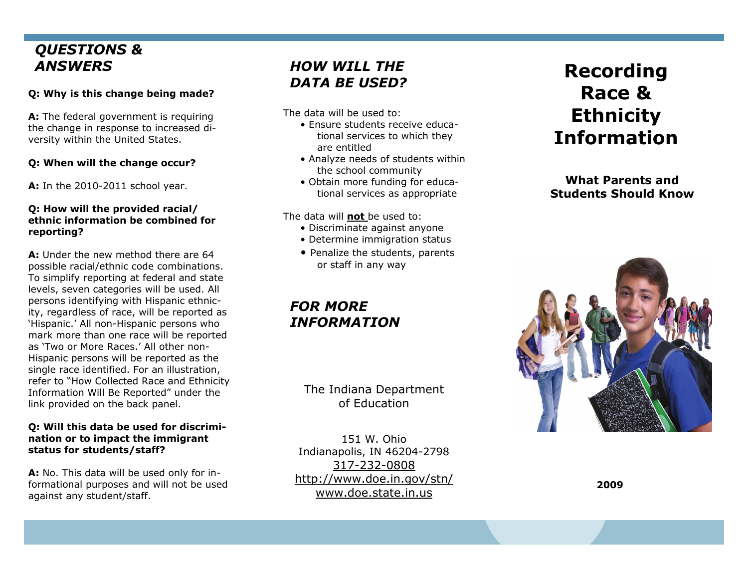# *QUESTIONS & ANSWERS*

### **Q: Why is this change being made?**

**A:** The federal government is requiring the change in response to increased diversity within the United States.

### **Q: When will the change occur?**

**A:** In the 2010-2011 school year.

#### **Q: How will the provided racial/ ethnic information be combined for reporting?**

**A:** Under the new method there are 64 possible racial/ethnic code combinations. To simplify reporting at federal and state levels, seven categories will be used. All persons identifying with Hispanic ethnicity, regardless of race, will be reported as 'Hispanic.' All non-Hispanic persons who mark more than one race will be reported as 'Two or More Races.' All other non-Hispanic persons will be reported as the single race identified. For an illustration, refer to "How Collected Race and Ethnicity Information Will Be Reported" under the link provided on the back panel.

#### **Q: Will this data be used for discrimination or to impact the immigrant status for students/staff?**

**A:** No. This data will be used only for informational purposes and will not be used against any student/staff.

# *HOW WILL THE DATA BE USED?*

The data will be used to:

- Ensure students receive educational services to which they are entitled
- Analyze needs of students within the school community
- Obtain more funding for educational services as appropriate

The data will **not** be used to:

- Discriminate against anyone
- Determine immigration status
- Penalize the students, parents or staff in any way

# *FOR MORE INFORMATION*

The Indiana Department of Education

151 W. Ohio Indianapolis, IN 46204-2798 317-232-0808 http://www.doe.in.gov/stn/ www.doe.state.in.us

# **Recording Race & Ethnicity Information**

**What Parents and Students Should Know** 



**2009**